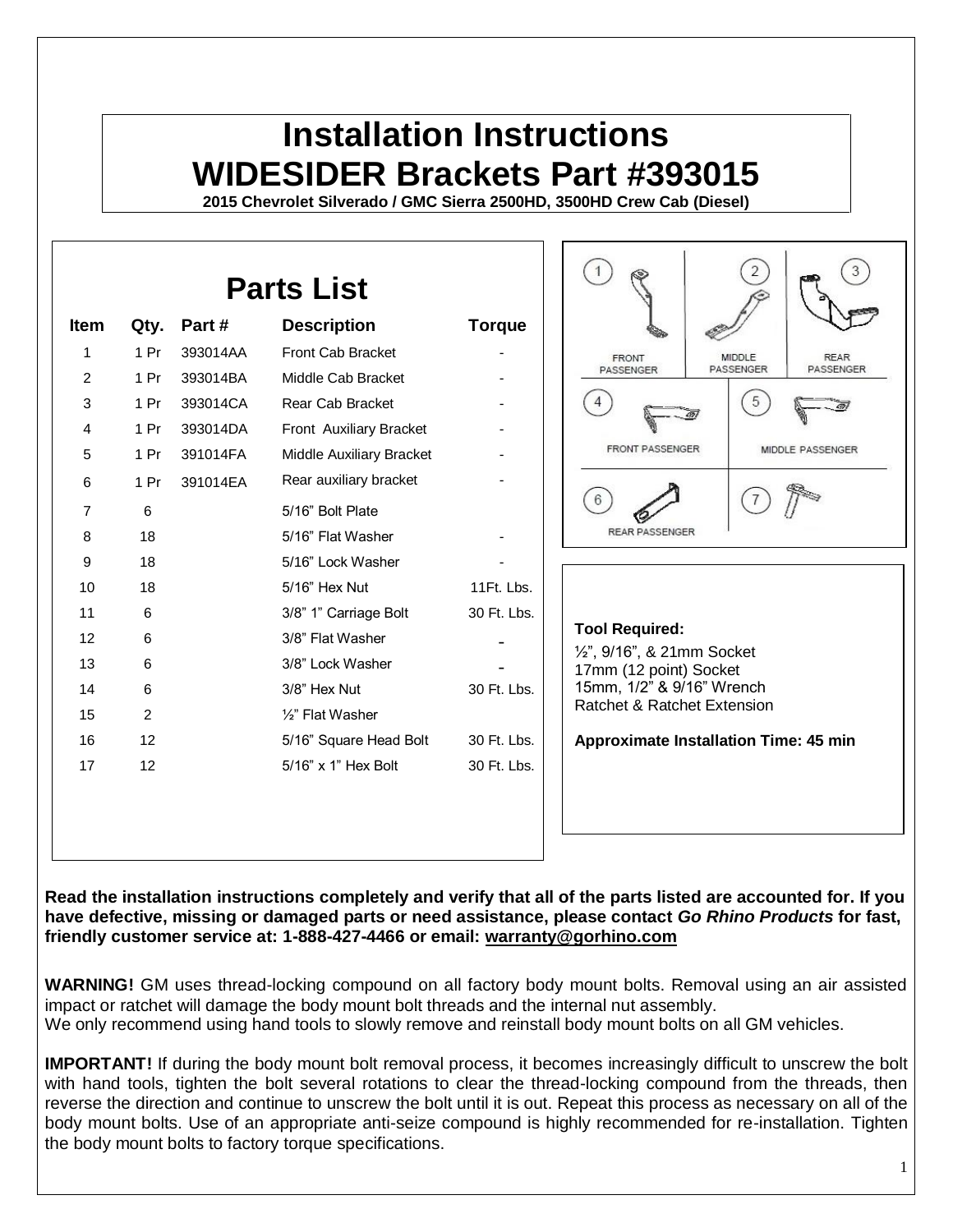## **Installation Instructions WIDESIDER Brackets Part #393015**

**2015 Chevrolet Silverado / GMC Sierra 2500HD, 3500HD Crew Cab (Diesel)**

| <b>Parts List</b> |                 |          |                          |                |                                                                                   |
|-------------------|-----------------|----------|--------------------------|----------------|-----------------------------------------------------------------------------------|
| <b>Item</b>       | Qty.            | Part#    | <b>Description</b>       | <b>Torque</b>  |                                                                                   |
| 1                 | 1 <sub>Pr</sub> | 393014AA | Front Cab Bracket        |                | <b>FRONT</b><br><b>MIDDLE</b><br><b>REAR</b>                                      |
| $\overline{c}$    | 1 <sub>Pr</sub> | 393014BA | Middle Cab Bracket       | $\blacksquare$ | PASSENGER<br>PASSENGER<br>PASSENGER                                               |
| 3                 | 1 <sub>Pr</sub> | 393014CA | Rear Cab Bracket         |                | 5                                                                                 |
| 4                 | 1 <sub>Pr</sub> | 393014DA | Front Auxiliary Bracket  |                |                                                                                   |
| 5                 | 1 <sub>Pr</sub> | 391014FA | Middle Auxiliary Bracket |                | <b>FRONT PASSENGER</b><br>MIDDLE PASSENGER                                        |
| 6                 | 1 <sub>Pr</sub> | 391014EA | Rear auxiliary bracket   |                |                                                                                   |
| 7                 | 6               |          | 5/16" Bolt Plate         |                |                                                                                   |
| 8                 | 18              |          | 5/16" Flat Washer        |                | <b>REAR PASSENGER</b>                                                             |
| 9                 | 18              |          | 5/16" Lock Washer        |                |                                                                                   |
| 10                | 18              |          | 5/16" Hex Nut            | 11Ft. Lbs.     |                                                                                   |
| 11                | 6               |          | 3/8" 1" Carriage Bolt    | 30 Ft. Lbs.    |                                                                                   |
| 12                | 6               |          | 3/8" Flat Washer         |                | <b>Tool Required:</b>                                                             |
| 13                | 6               |          | 3/8" Lock Washer         |                | 1/2", 9/16", & 21mm Socket<br>17mm (12 point) Socket<br>15mm, 1/2" & 9/16" Wrench |
| 14                | 6               |          | 3/8" Hex Nut             | 30 Ft. Lbs.    |                                                                                   |
| 15                | 2               |          | 1/2" Flat Washer         |                | Ratchet & Ratchet Extension                                                       |
| 16                | 12              |          | 5/16" Square Head Bolt   | 30 Ft. Lbs.    | <b>Approximate Installation Time: 45 min</b>                                      |
| 17                | 12              |          | 5/16" x 1" Hex Bolt      | 30 Ft. Lbs.    |                                                                                   |
|                   |                 |          |                          |                |                                                                                   |
|                   |                 |          |                          |                |                                                                                   |
|                   |                 |          |                          |                |                                                                                   |

**Read the installation instructions completely and verify that all of the parts listed are accounted for. If you have defective, missing or damaged parts or need assistance, please contact** *Go Rhino Products* **for fast, friendly customer service at: 1-888-427-4466 or email: [warranty@gorhino.com](mailto:warranty@gorhino.com)**

**WARNING!** GM uses thread-locking compound on all factory body mount bolts. Removal using an air assisted impact or ratchet will damage the body mount bolt threads and the internal nut assembly. We only recommend using hand tools to slowly remove and reinstall body mount bolts on all GM vehicles.

**IMPORTANT!** If during the body mount bolt removal process, it becomes increasingly difficult to unscrew the bolt with hand tools, tighten the bolt several rotations to clear the thread-locking compound from the threads, then reverse the direction and continue to unscrew the bolt until it is out. Repeat this process as necessary on all of the body mount bolts. Use of an appropriate anti-seize compound is highly recommended for re-installation. Tighten the body mount bolts to factory torque specifications.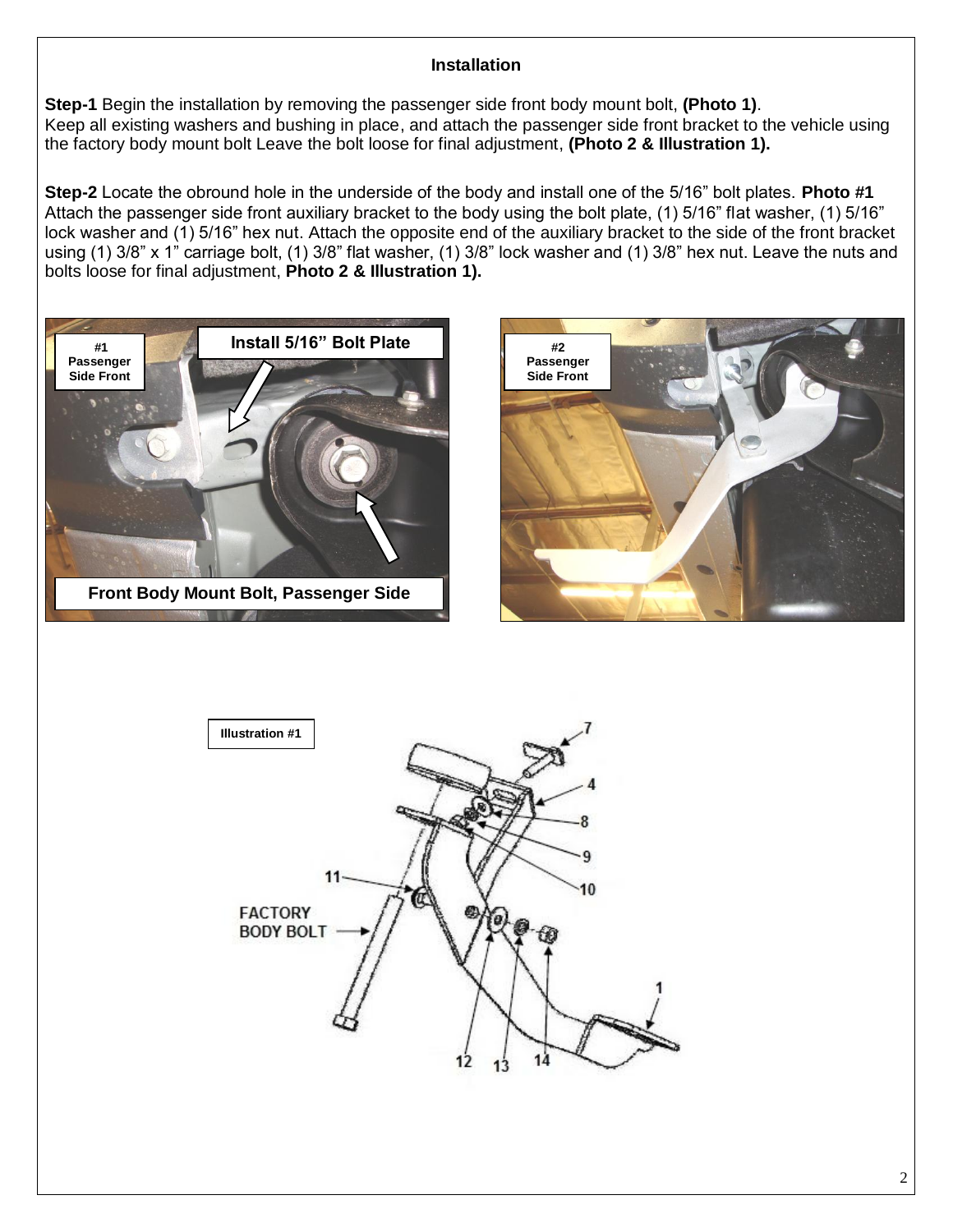## **Installation**

**Step-1** Begin the installation by removing the passenger side front body mount bolt, **(Photo 1)**. Keep all existing washers and bushing in place, and attach the passenger side front bracket to the vehicle using the factory body mount bolt Leave the bolt loose for final adjustment, **(Photo 2 & Illustration 1).**

**Step-2** Locate the obround hole in the underside of the body and install one of the 5/16" bolt plates. **Photo #1**  Attach the passenger side front auxiliary bracket to the body using the bolt plate, (1) 5/16" flat washer, (1) 5/16" lock washer and (1) 5/16" hex nut. Attach the opposite end of the auxiliary bracket to the side of the front bracket using (1) 3/8" x 1" carriage bolt, (1) 3/8" flat washer, (1) 3/8" lock washer and (1) 3/8" hex nut. Leave the nuts and bolts loose for final adjustment, **Photo 2 & Illustration 1).**





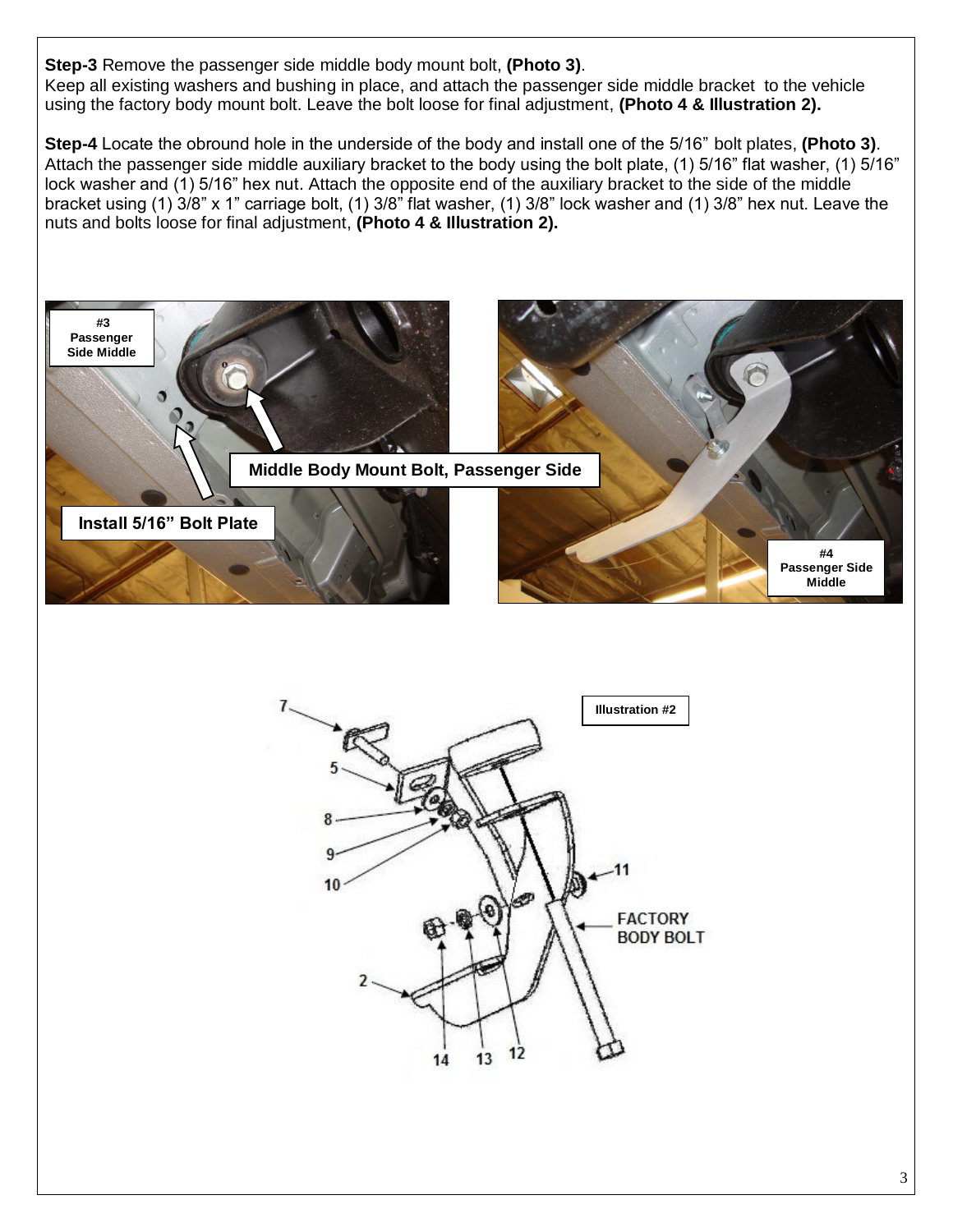**Step-3** Remove the passenger side middle body mount bolt, **(Photo 3)**. Keep all existing washers and bushing in place, and attach the passenger side middle bracket to the vehicle using the factory body mount bolt. Leave the bolt loose for final adjustment, **(Photo 4 & Illustration 2).**

**Step-4** Locate the obround hole in the underside of the body and install one of the 5/16" bolt plates, **(Photo 3)**. Attach the passenger side middle auxiliary bracket to the body using the bolt plate, (1) 5/16" flat washer, (1) 5/16" lock washer and (1) 5/16" hex nut. Attach the opposite end of the auxiliary bracket to the side of the middle bracket using (1) 3/8" x 1" carriage bolt, (1) 3/8" flat washer, (1) 3/8" lock washer and (1) 3/8" hex nut. Leave the nuts and bolts loose for final adjustment, **(Photo 4 & Illustration 2).**

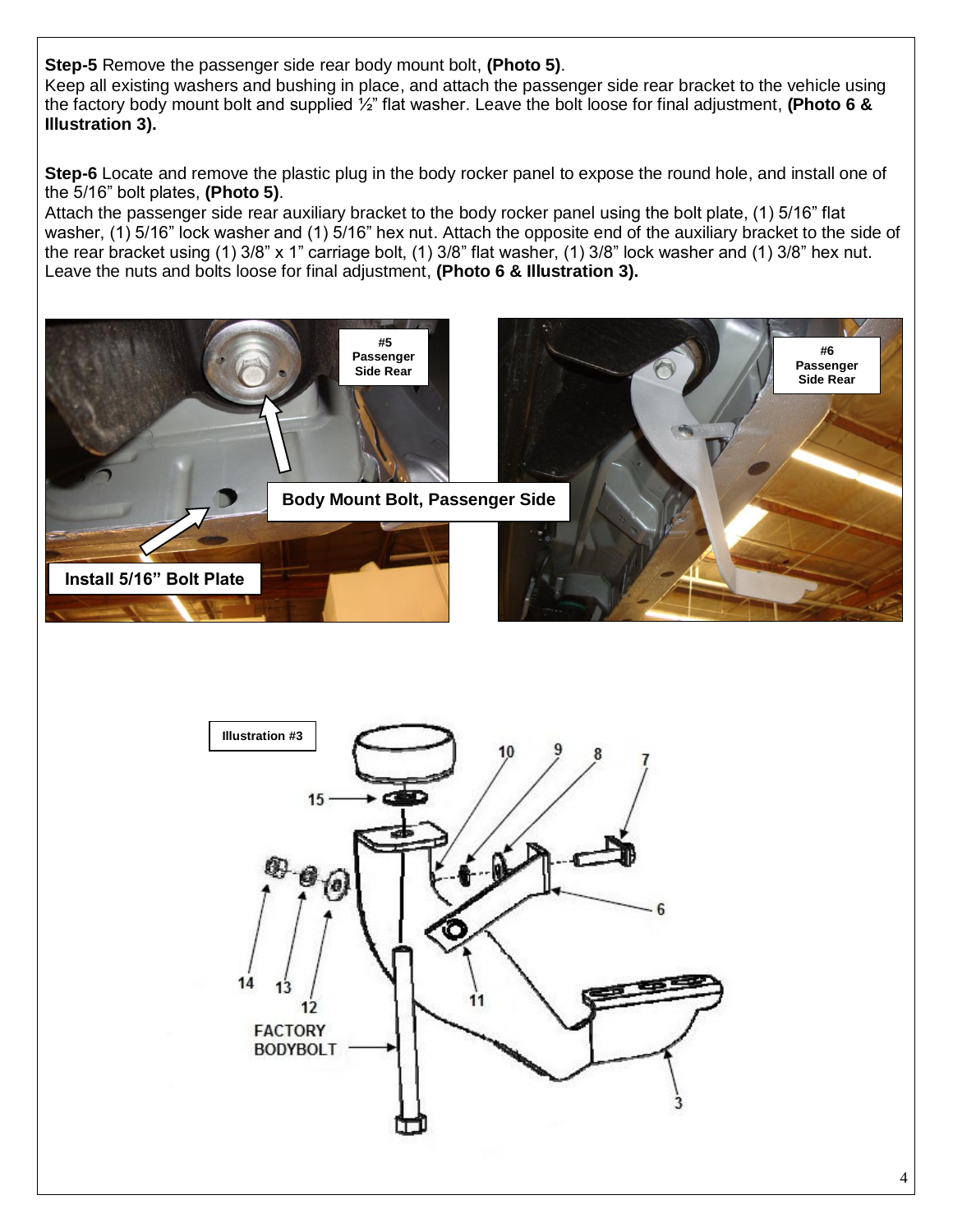**Step-5** Remove the passenger side rear body mount bolt, **(Photo 5)**.

Keep all existing washers and bushing in place, and attach the passenger side rear bracket to the vehicle using the factory body mount bolt and supplied ½" flat washer. Leave the bolt loose for final adjustment, **(Photo 6 & Illustration 3).**

**Step-6** Locate and remove the plastic plug in the body rocker panel to expose the round hole, and install one of the 5/16" bolt plates, **(Photo 5)**.

Attach the passenger side rear auxiliary bracket to the body rocker panel using the bolt plate, (1) 5/16" flat washer, (1) 5/16" lock washer and (1) 5/16" hex nut. Attach the opposite end of the auxiliary bracket to the side of the rear bracket using (1) 3/8" x 1" carriage bolt, (1) 3/8" flat washer, (1) 3/8" lock washer and (1) 3/8" hex nut. Leave the nuts and bolts loose for final adjustment, **(Photo 6 & Illustration 3).**